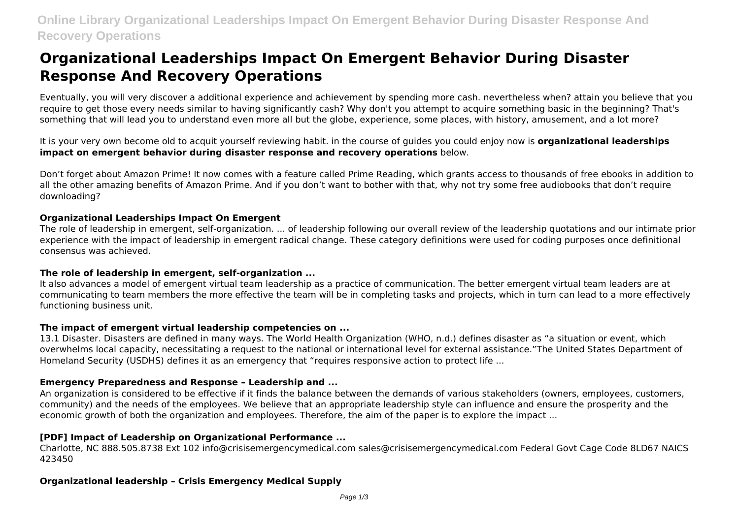# **Organizational Leaderships Impact On Emergent Behavior During Disaster Response And Recovery Operations**

Eventually, you will very discover a additional experience and achievement by spending more cash. nevertheless when? attain you believe that you require to get those every needs similar to having significantly cash? Why don't you attempt to acquire something basic in the beginning? That's something that will lead you to understand even more all but the globe, experience, some places, with history, amusement, and a lot more?

It is your very own become old to acquit yourself reviewing habit. in the course of guides you could enjoy now is **organizational leaderships impact on emergent behavior during disaster response and recovery operations** below.

Don't forget about Amazon Prime! It now comes with a feature called Prime Reading, which grants access to thousands of free ebooks in addition to all the other amazing benefits of Amazon Prime. And if you don't want to bother with that, why not try some free audiobooks that don't require downloading?

# **Organizational Leaderships Impact On Emergent**

The role of leadership in emergent, self-organization. ... of leadership following our overall review of the leadership quotations and our intimate prior experience with the impact of leadership in emergent radical change. These category definitions were used for coding purposes once definitional consensus was achieved.

# **The role of leadership in emergent, self-organization ...**

It also advances a model of emergent virtual team leadership as a practice of communication. The better emergent virtual team leaders are at communicating to team members the more effective the team will be in completing tasks and projects, which in turn can lead to a more effectively functioning business unit.

#### **The impact of emergent virtual leadership competencies on ...**

13.1 Disaster. Disasters are defined in many ways. The World Health Organization (WHO, n.d.) defines disaster as "a situation or event, which overwhelms local capacity, necessitating a request to the national or international level for external assistance."The United States Department of Homeland Security (USDHS) defines it as an emergency that "requires responsive action to protect life ...

# **Emergency Preparedness and Response – Leadership and ...**

An organization is considered to be effective if it finds the balance between the demands of various stakeholders (owners, employees, customers, community) and the needs of the employees. We believe that an appropriate leadership style can influence and ensure the prosperity and the economic growth of both the organization and employees. Therefore, the aim of the paper is to explore the impact ...

# **[PDF] Impact of Leadership on Organizational Performance ...**

Charlotte, NC 888.505.8738 Ext 102 info@crisisemergencymedical.com sales@crisisemergencymedical.com Federal Govt Cage Code 8LD67 NAICS 423450

# **Organizational leadership – Crisis Emergency Medical Supply**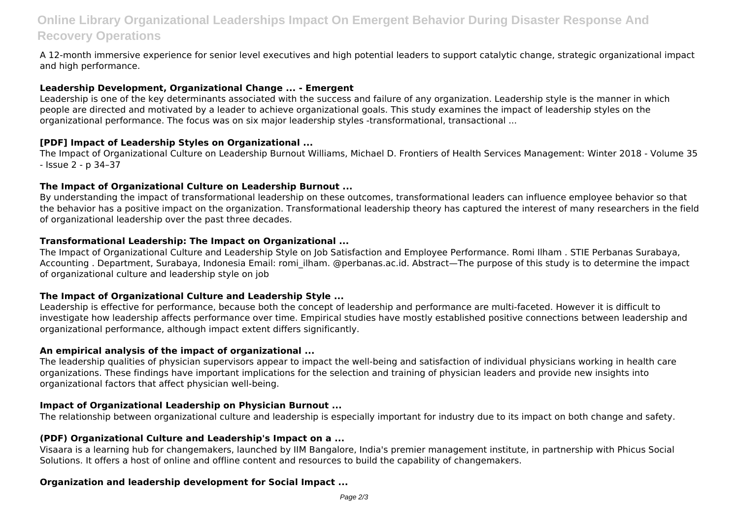# **Online Library Organizational Leaderships Impact On Emergent Behavior During Disaster Response And Recovery Operations**

A 12-month immersive experience for senior level executives and high potential leaders to support catalytic change, strategic organizational impact and high performance.

#### **Leadership Development, Organizational Change ... - Emergent**

Leadership is one of the key determinants associated with the success and failure of any organization. Leadership style is the manner in which people are directed and motivated by a leader to achieve organizational goals. This study examines the impact of leadership styles on the organizational performance. The focus was on six major leadership styles -transformational, transactional ...

#### **[PDF] Impact of Leadership Styles on Organizational ...**

The Impact of Organizational Culture on Leadership Burnout Williams, Michael D. Frontiers of Health Services Management: Winter 2018 - Volume 35 - Issue 2 - p 34–37

# **The Impact of Organizational Culture on Leadership Burnout ...**

By understanding the impact of transformational leadership on these outcomes, transformational leaders can influence employee behavior so that the behavior has a positive impact on the organization. Transformational leadership theory has captured the interest of many researchers in the field of organizational leadership over the past three decades.

# **Transformational Leadership: The Impact on Organizational ...**

The Impact of Organizational Culture and Leadership Style on Job Satisfaction and Employee Performance. Romi Ilham . STIE Perbanas Surabaya, Accounting . Department, Surabaya, Indonesia Email: romi\_ilham. @perbanas.ac.id. Abstract—The purpose of this study is to determine the impact of organizational culture and leadership style on job

#### **The Impact of Organizational Culture and Leadership Style ...**

Leadership is effective for performance, because both the concept of leadership and performance are multi-faceted. However it is difficult to investigate how leadership affects performance over time. Empirical studies have mostly established positive connections between leadership and organizational performance, although impact extent differs significantly.

#### **An empirical analysis of the impact of organizational ...**

The leadership qualities of physician supervisors appear to impact the well-being and satisfaction of individual physicians working in health care organizations. These findings have important implications for the selection and training of physician leaders and provide new insights into organizational factors that affect physician well-being.

#### **Impact of Organizational Leadership on Physician Burnout ...**

The relationship between organizational culture and leadership is especially important for industry due to its impact on both change and safety.

#### **(PDF) Organizational Culture and Leadership's Impact on a ...**

Visaara is a learning hub for changemakers, launched by IIM Bangalore, India's premier management institute, in partnership with Phicus Social Solutions. It offers a host of online and offline content and resources to build the capability of changemakers.

# **Organization and leadership development for Social Impact ...**